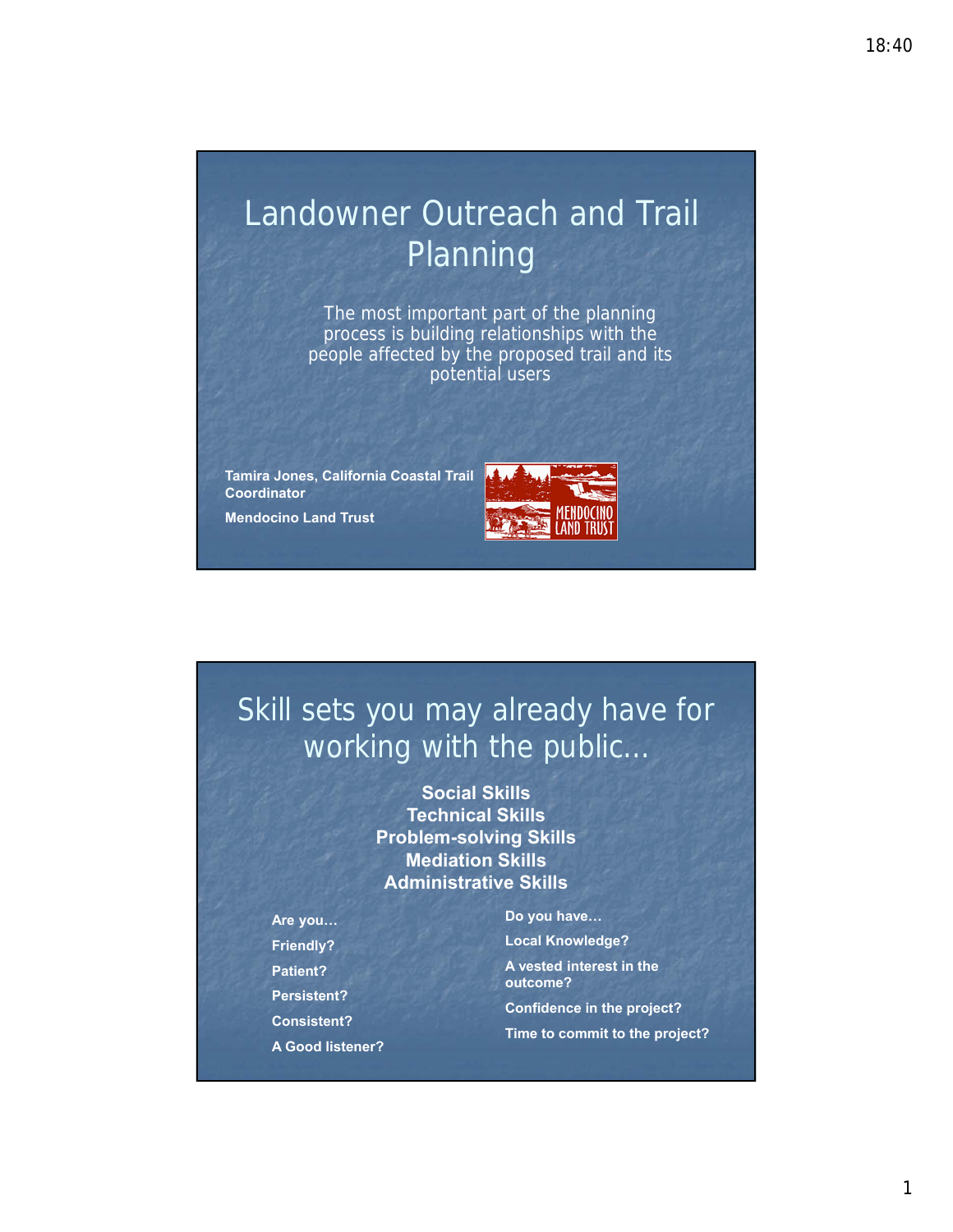# Landowner Outreach and Trail Planning

The most important part of the planning process is building relationships with the people affected by the proposed trail and its potential users

**Tamira Jones, California Coastal Trail Coordinator**

**Mendocino Land Trust**



## Skill sets you may already have for working with the public…

**Social Skills Technical Skills Problem-solving Skills Mediation Skills Administrative Skills**

**Are you… Friendly? Patient? Persistent? Consistent? A Good listener?** **Do you have…**

**Local Knowledge? A vested interest in the outcome? Confidence in the project?**

**Time to commit to the project?**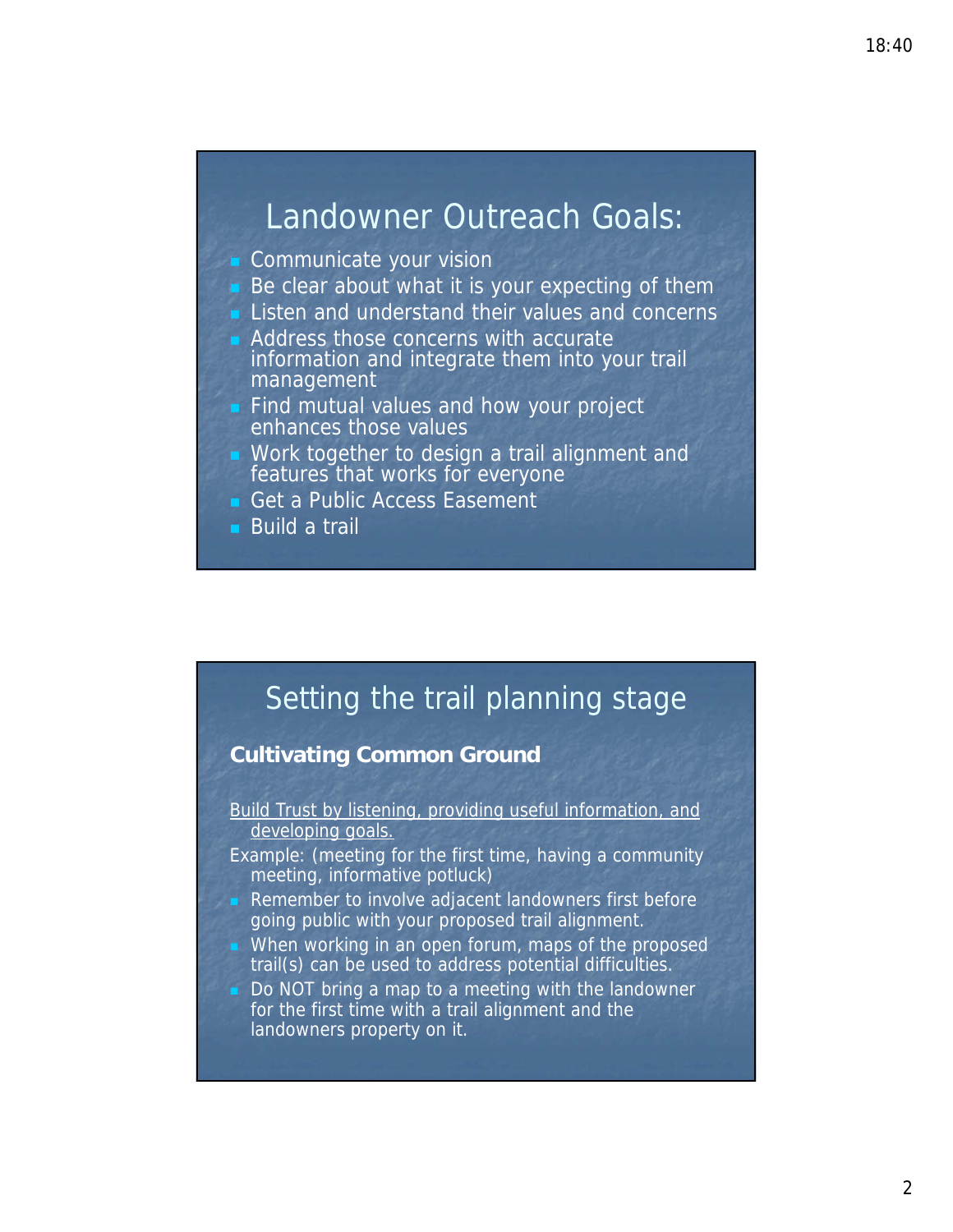### Landowner Outreach Goals:

- Communicate your vision
- $\blacksquare$  Be clear about what it is your expecting of them
- **Listen and understand their values and concerns**
- **Address those concerns with accurate** information and integrate them into your trail management
- **Find mutual values and how your project** enhances those values
- **Nork together to design a trail alignment and** features that works for everyone
- Get a Public Access Easement
- Build a trail



### **Cultivating Common Ground**

- Build Trust by listening, providing useful information, and developing goals.
- Example: (meeting for the first time, having a community meeting, informative potluck)
- Remember to involve adjacent landowners first before going public with your proposed trail alignment.
- When working in an open forum, maps of the proposed trail(s) can be used to address potential difficulties.
	- Do NOT bring a map to a meeting with the landowner for the first time with a trail alignment and the landowners property on it.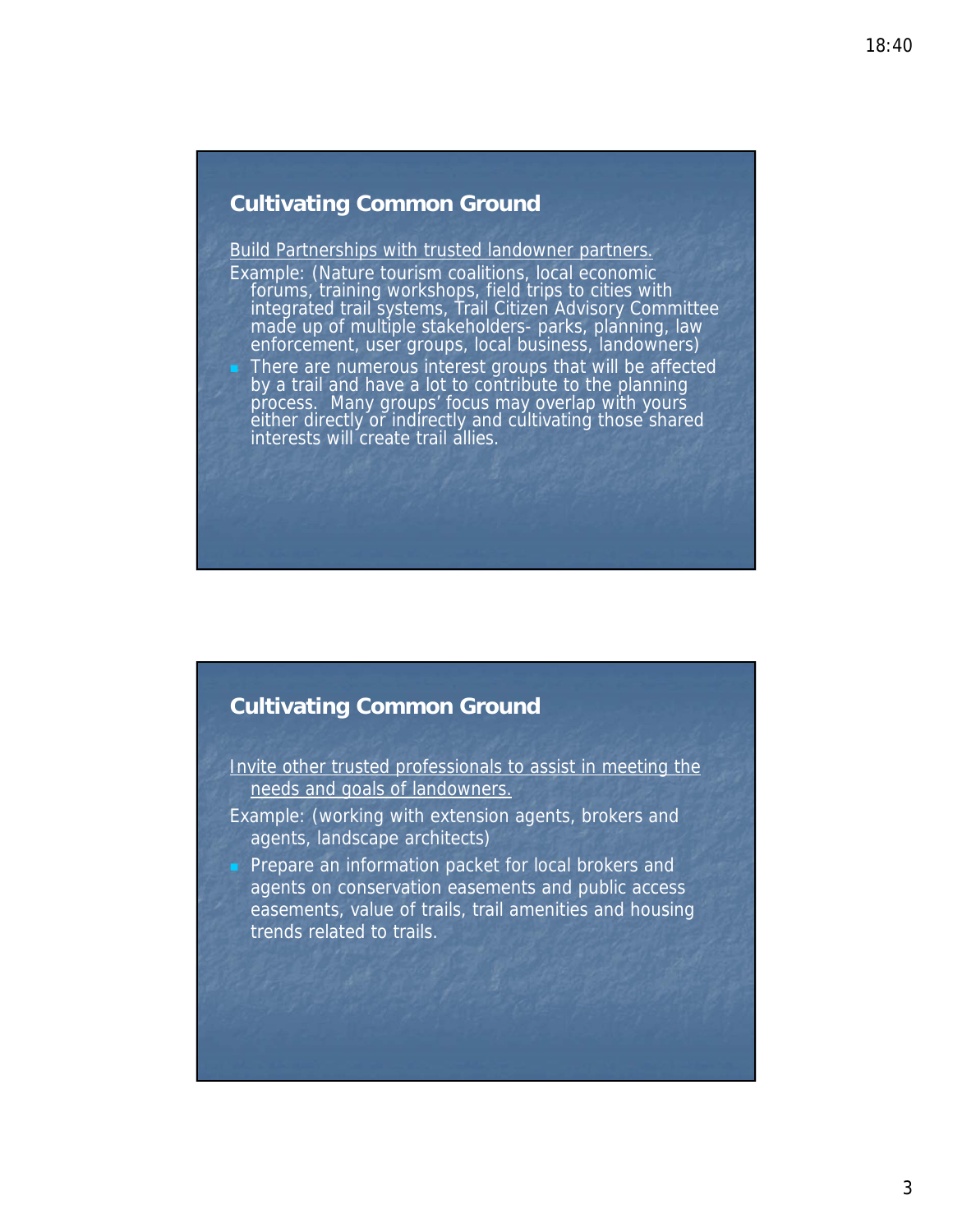### **Cultivating Common Ground**

#### Build Partnerships with trusted landowner partners.

Example: (Nature tourism coalitions, local economic forums, training workshops, field trips to cities with integrated trail systems, Trail Citizen Advisory Committee made up of multiple stakeholders- parks, planning, law enforcement, user groups, local business, landowners) There are numerous interest groups that will be affected by a trail and have a lot to contribute to the planning process. Many groups' focus may overlap with yours either directly or indirectly and cultivating those shared interests will create trail allies.

### **Cultivating Common Ground**

- Invite other trusted professionals to assist in meeting the needs and goals of landowners.
- Example: (working with extension agents, brokers and agents, landscape architects)
- **Prepare an information packet for local brokers and** agents on conservation easements and public access easements, value of trails, trail amenities and housing trends related to trails.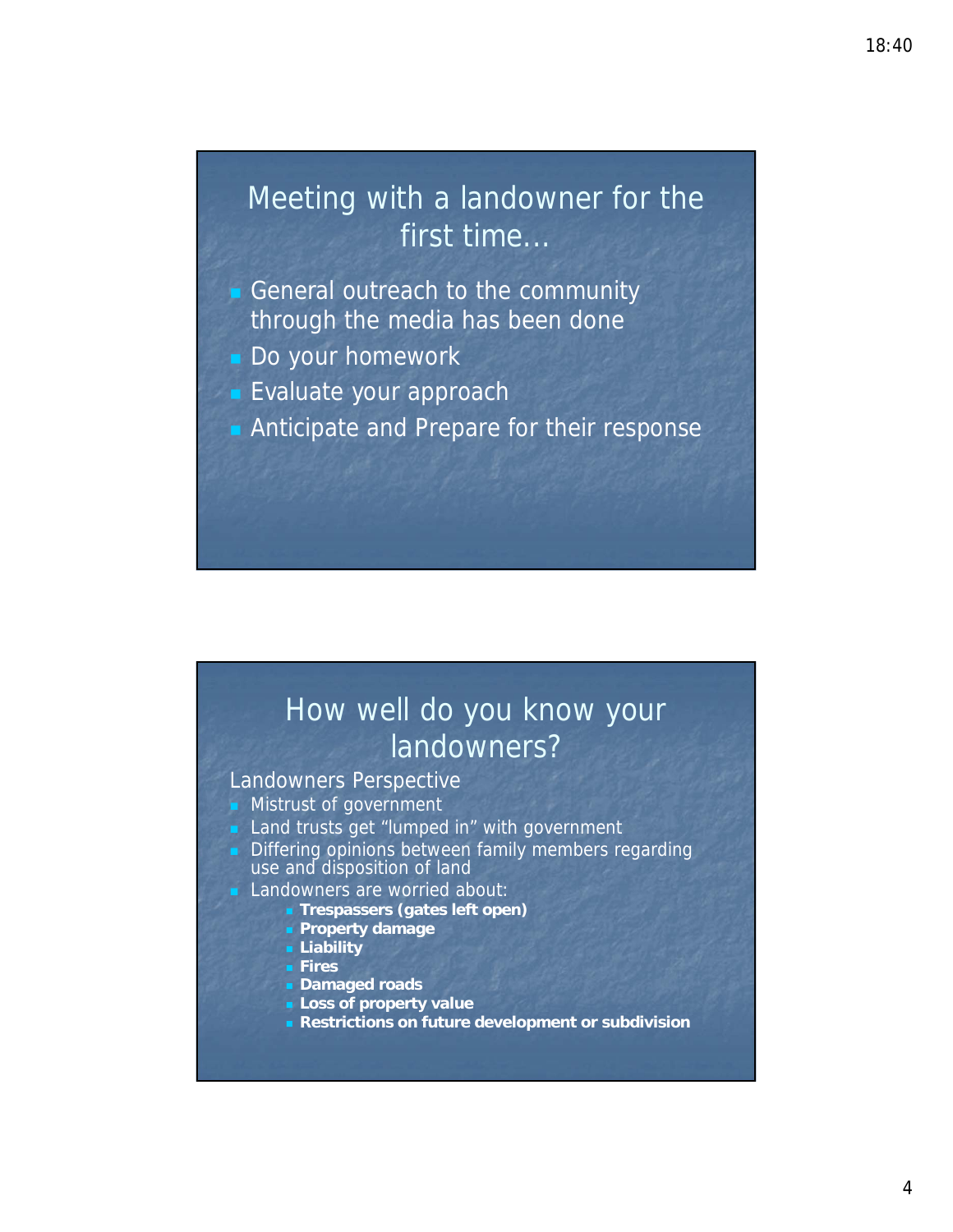## Meeting with a landowner for the first time...

- General outreach to the community through the media has been done
- Do your homework
- **Evaluate your approach**
- **Anticipate and Prepare for their response**

## How well do you know your landowners?

#### Landowners Perspective

- **Mistrust of government**
- **Land trusts get "lumped in" with government**
- Differing opinions between family members regarding use and disposition of land
	- Landowners are worried about:
		- **Trespassers (gates left open)**
		- **Property damage**
		- **Liability**
		- **Fires**
		- **Damaged roads**
		- **Loss of property value**
		- **Restrictions on future development or subdivision**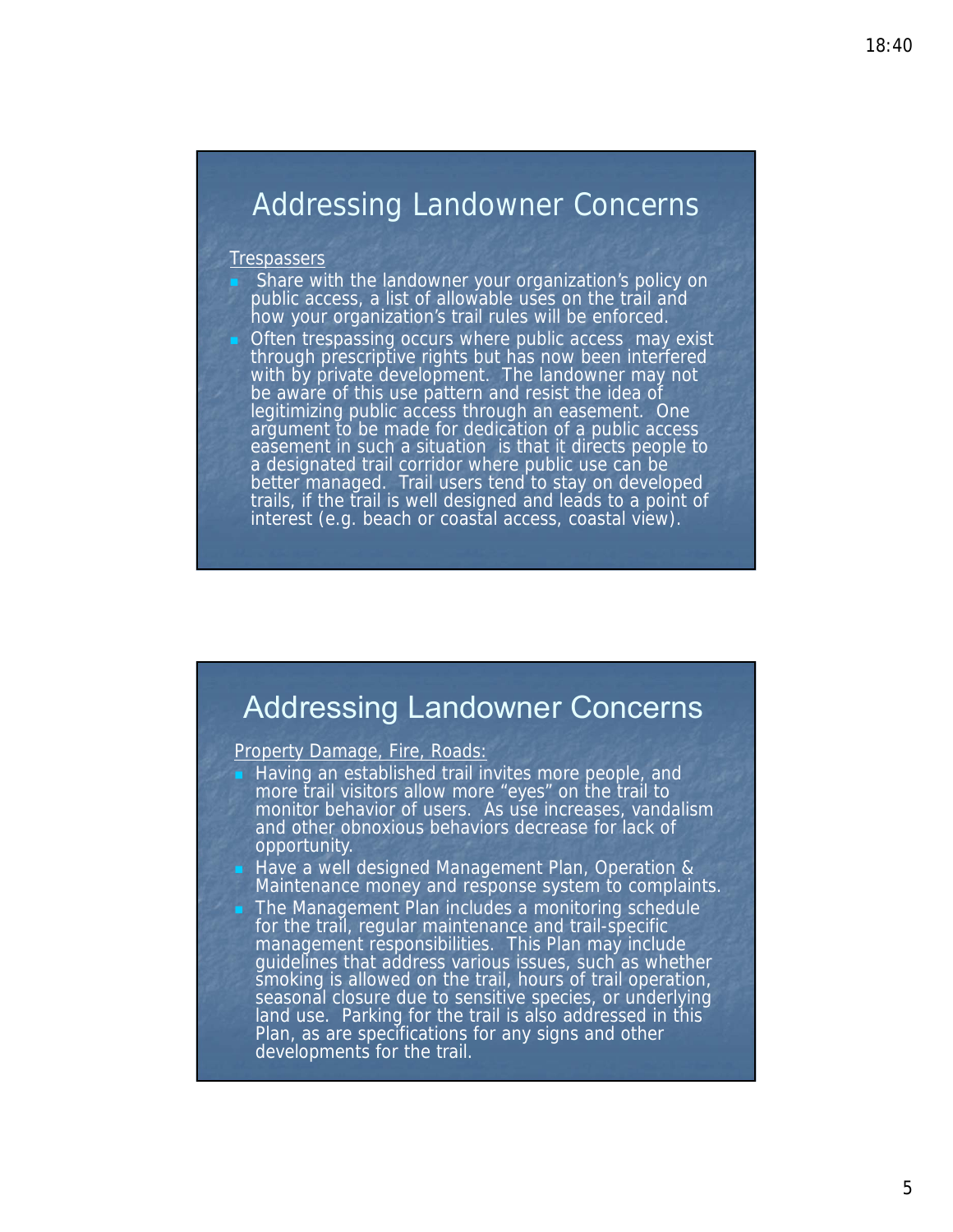### Addressing Landowner Concerns

#### **Trespassers**

- Share with the landowner your organization's policy on public access, a list of allowable uses on the trail and how your organization's trail rules will be enforced.
- Often trespassing occurs where public access may exist through prescriptive rights but has now been interfered with by private development. The landowner may not be aware of this use pattern and resist the idea of legitimizing public access through an easement. One argument to be made for dedication of a public access easement in such a situation is that it directs people to a designated trail corridor where public use can be better managed. Trail users tend to stay on developed trails, if the trail is well designed and leads to a point of interest (e.g. beach or coastal access, coastal view).

### Addressing Landowner Concerns

#### Property Damage, Fire, Roads:

- Having an established trail invites more people, and more trail visitors allow more "eyes" on the trail to monitor behavior of users. As use increases, vandalism and other obnoxious behaviors decrease for lack of opportunity.
	- Have a well designed Management Plan, Operation & Maintenance money and response system to complaints.
- The Management Plan includes a monitoring schedule for the trail, regular maintenance and trail-specific management responsibilities. This Plan may include guidelines that address various issues, such as whether smoking is allowed on the trail, hours of trail operation, seasonal closure due to sensitive species, or underlying land use. Parking for the trail is also addressed in this Plan, as are specifications for any signs and other developments for the trail.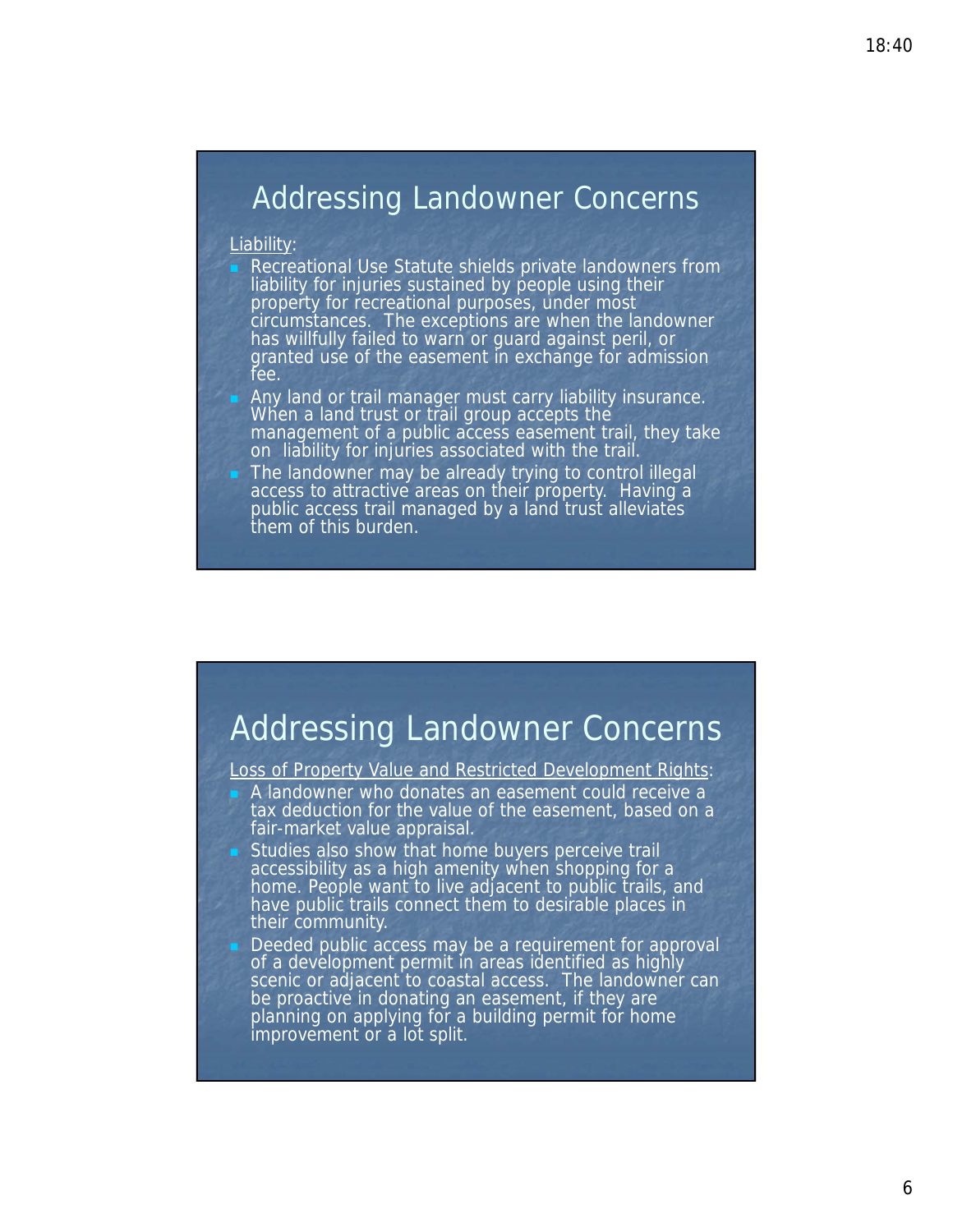### Addressing Landowner Concerns

#### Liability:

- Recreational Use Statute shields private landowners from liability for injuries sustained by people using their property for recreational purposes, under most circumstances. The exceptions are when the landowner has willfully failed to warn or guard against peril, or granted use of the easement in exchange for admission fee.
- Any land or trail manager must carry liability insurance. When a land trust or trail group accepts the management of a public access easement trail, they take on liability for injuries associated with the trail.
- The landowner may be already trying to control illegal access to attractive areas on their property. Having a public access trail managed by a land trust alleviates them of this burden.

### Addressing Landowner Concerns

Loss of Property Value and Restricted Development Rights:

- A landowner who donates an easement could receive a tax deduction for the value of the easement, based on a fair-market value appraisal.
- Studies also show that home buyers perceive trail accessibility as a high amenity when shopping for a home. People want to live adjacent to public trails, and have public trails connect them to desirable places in their community.
- Deeded public access may be a requirement for approval of a development permit in areas identified as highly scenic or adjacent to coastal access. The landowner can be proactive in donating an easement, if they are planning on applying for a building permit for home improvement or a lot split.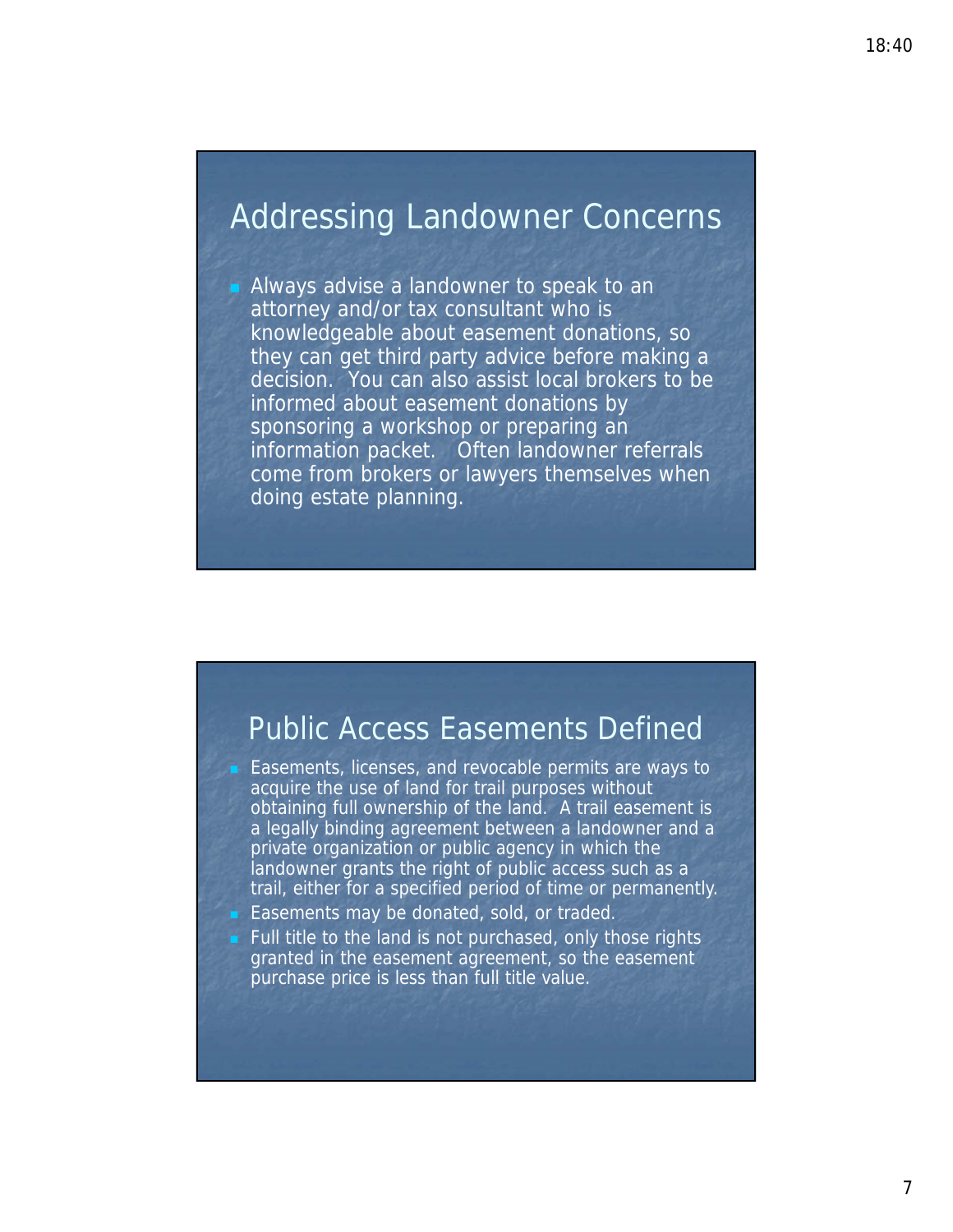### Addressing Landowner Concerns

 Always advise a landowner to speak to an attorney and/or tax consultant who is knowledgeable about easement donations, so they can get third party advice before making a decision. You can also assist local brokers to be informed about easement donations by sponsoring a workshop or preparing an information packet. Often landowner referrals come from brokers or lawyers themselves when doing estate planning.

### Public Access Easements Defined

**Easements, licenses, and revocable permits are ways to** acquire the use of land for trail purposes without obtaining full ownership of the land. A trail easement is a legally binding agreement between a landowner and a private organization or public agency in which the landowner grants the right of public access such as a trail, either for a specified period of time or permanently.

- **Easements may be donated, sold, or traded.**
- Full title to the land is not purchased, only those rights granted in the easement agreement, so the easement purchase price is less than full title value.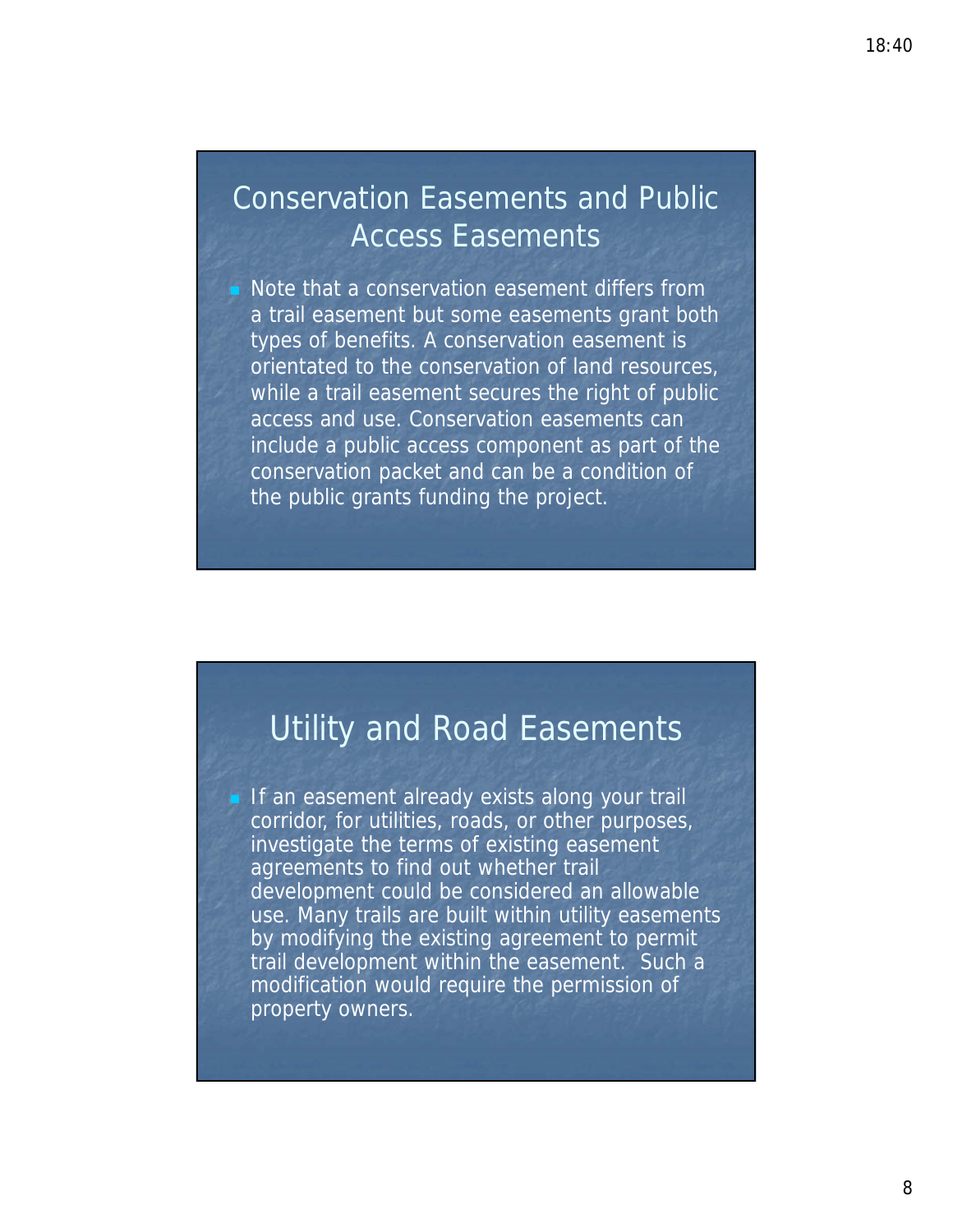### Conservation Easements and Public Access Easements

 Note that a conservation easement differs from a trail easement but some easements grant both types of benefits. A conservation easement is orientated to the conservation of land resources, while a trail easement secures the right of public access and use. Conservation easements can include a public access component as part of the conservation packet and can be a condition of the public grants funding the project.

### Utility and Road Easements

If an easement already exists along your trail corridor, for utilities, roads, or other purposes, investigate the terms of existing easement agreements to find out whether trail development could be considered an allowable use. Many trails are built within utility easements by modifying the existing agreement to permit trail development within the easement. Such a modification would require the permission of property owners.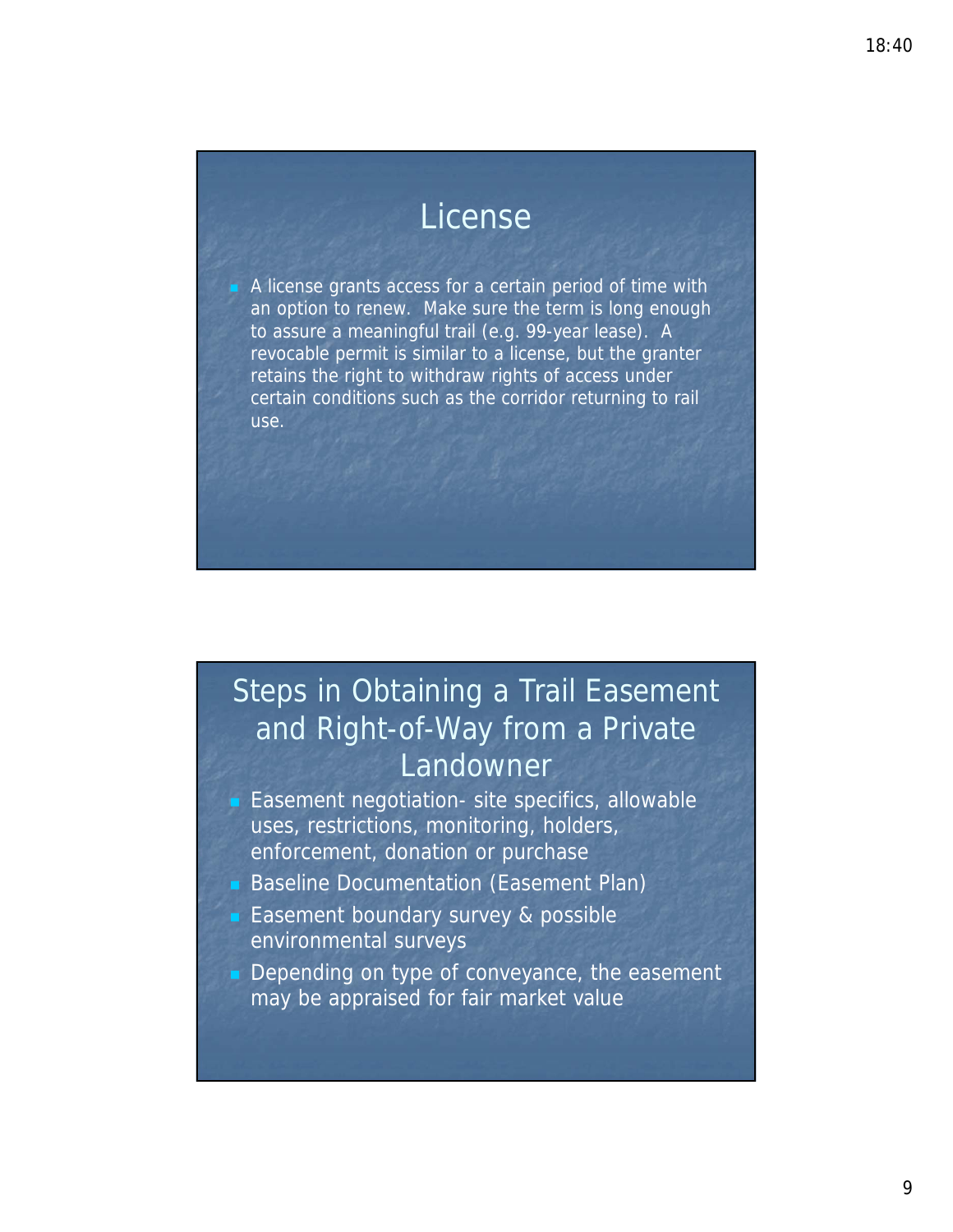## License

 A license grants access for a certain period of time with an option to renew. Make sure the term is long enough to assure a meaningful trail (e.g. 99-year lease). A revocable permit is similar to a license, but the granter retains the right to withdraw rights of access under certain conditions such as the corridor returning to rail use.

## Steps in Obtaining a Trail Easement and Right-of-Way from a Private Landowner

- Easement negotiation- site specifics, allowable uses, restrictions, monitoring, holders, enforcement, donation or purchase
- Baseline Documentation (Easement Plan)
- **Easement boundary survey & possible** environmental surveys
- Depending on type of conveyance, the easement may be appraised for fair market value